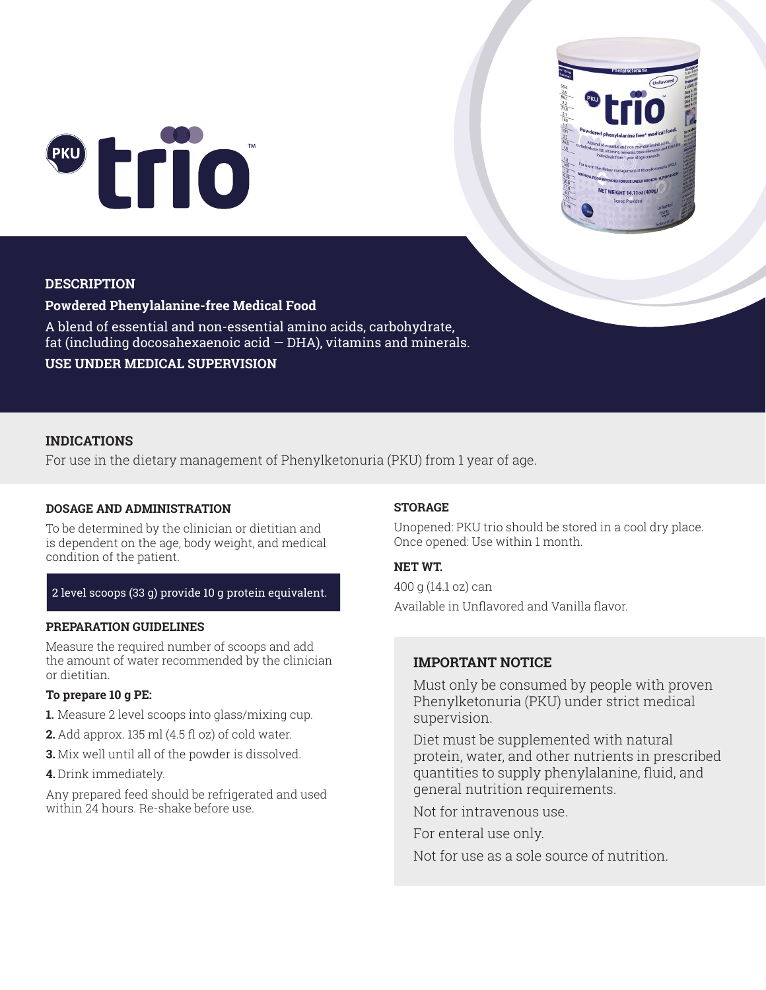



# **DESCRIPTION**

# **Powdered Phenylalanine-free Medical Food**

A blend of essential and non-essential amino acids, carbohydrate, fat (including docosahexaenoic acid  $-$  DHA), vitamins and minerals. **USE UNDER MEDICAL SUPERVISION**

# **INDICATIONS**

For use in the dietary management of Phenylketonuria (PKU) from 1 year of age.

### **DOSAGE AND ADMINISTRATION**

To be determined by the clinician or dietitian and is dependent on the age, body weight, and medical condition of the patient.

# 2 level scoops (33 g) provide 10 g protein equivalent.

### **PREPARATION GUIDELINES**

Measure the required number of scoops and add the amount of water recommended by the clinician or dietitian.

## **To prepare 10 g PE:**

- **1.** Measure 2 level scoops into glass/mixing cup.
- **2.** Add approx. 135 ml (4.5 fl oz) of cold water.
- **3.** Mix well until all of the powder is dissolved.
- **4.** Drink immediately.

Any prepared feed should be refrigerated and used within 24 hours. Re-shake before use.

### **STORAGE**

Unopened: PKU trio should be stored in a cool dry place. Once opened: Use within 1 month.

# **NET WT.**

400 g (14.1 oz) can Available in Unflavored and Vanilla flavor.

# **IMPORTANT NOTICE**

Must only be consumed by people with proven Phenylketonuria (PKU) under strict medical supervision.

Diet must be supplemented with natural protein, water, and other nutrients in prescribed quantities to supply phenylalanine, fluid, and general nutrition requirements.

Not for intravenous use.

For enteral use only.

Not for use as a sole source of nutrition.